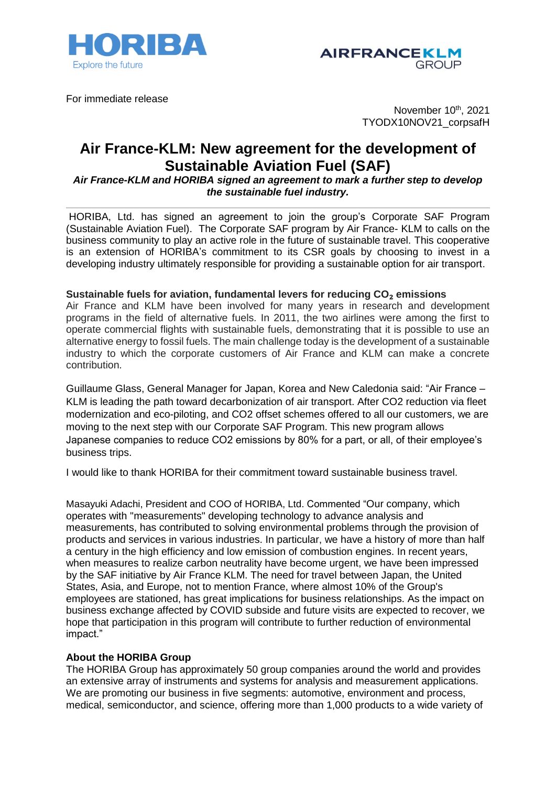



For immediate release

November 10<sup>th</sup>, 2021 TYODX10NOV21\_corpsafH

## **Air France-KLM: New agreement for the development of Sustainable Aviation Fuel (SAF)**

*Air France-KLM and HORIBA signed an agreement to mark a further step to develop the sustainable fuel industry.*

HORIBA, Ltd. has signed an agreement to join the group's Corporate SAF Program (Sustainable Aviation Fuel). The Corporate SAF program by Air France- KLM to calls on the business community to play an active role in the future of sustainable travel. This cooperative is an extension of HORIBA's commitment to its CSR goals by choosing to invest in a developing industry ultimately responsible for providing a sustainable option for air transport.

## **Sustainable fuels for aviation, fundamental levers for reducing CO**₂ **emissions**

Air France and KLM have been involved for many years in research and development programs in the field of alternative fuels. In 2011, the two airlines were among the first to operate commercial flights with sustainable fuels, demonstrating that it is possible to use an alternative energy to fossil fuels. The main challenge today is the development of a sustainable industry to which the corporate customers of Air France and KLM can make a concrete contribution.

Guillaume Glass, General Manager for Japan, Korea and New Caledonia said: "Air France – KLM is leading the path toward decarbonization of air transport. After CO2 reduction via fleet modernization and eco-piloting, and CO2 offset schemes offered to all our customers, we are moving to the next step with our Corporate SAF Program. This new program allows Japanese companies to reduce CO2 emissions by 80% for a part, or all, of their employee's business trips.

I would like to thank HORIBA for their commitment toward sustainable business travel.

Masayuki Adachi, President and COO of HORIBA, Ltd. Commented "Our company, which operates with "measurements" developing technology to advance analysis and measurements, has contributed to solving environmental problems through the provision of products and services in various industries. In particular, we have a history of more than half a century in the high efficiency and low emission of combustion engines. In recent years, when measures to realize carbon neutrality have become urgent, we have been impressed by the SAF initiative by Air France KLM. The need for travel between Japan, the United States, Asia, and Europe, not to mention France, where almost 10% of the Group's employees are stationed, has great implications for business relationships. As the impact on business exchange affected by COVID subside and future visits are expected to recover, we hope that participation in this program will contribute to further reduction of environmental impact."

## **About the HORIBA Group**

The HORIBA Group has approximately 50 group companies around the world and provides an extensive array of instruments and systems for analysis and measurement applications. We are promoting our business in five segments: automotive, environment and process, medical, semiconductor, and science, offering more than 1,000 products to a wide variety of